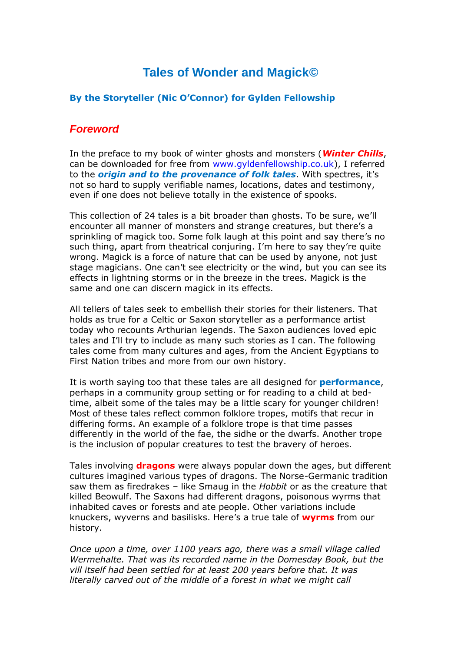# **Tales of Wonder and Magick©**

#### **By the Storyteller (Nic O'Connor) for Gylden Fellowship**

#### *Foreword*

In the preface to my book of winter ghosts and monsters (*Winter Chills*, can be downloaded for free from [www.gyldenfellowship.co.uk\)](http://www.gyldenfellowship.co.uk/), I referred to the *origin and to the provenance of folk tales*. With spectres, it's not so hard to supply verifiable names, locations, dates and testimony, even if one does not believe totally in the existence of spooks.

This collection of 24 tales is a bit broader than ghosts. To be sure, we'll encounter all manner of monsters and strange creatures, but there's a sprinkling of magick too. Some folk laugh at this point and say there's no such thing, apart from theatrical conjuring. I'm here to say they're quite wrong. Magick is a force of nature that can be used by anyone, not just stage magicians. One can't see electricity or the wind, but you can see its effects in lightning storms or in the breeze in the trees. Magick is the same and one can discern magick in its effects.

All tellers of tales seek to embellish their stories for their listeners. That holds as true for a Celtic or Saxon storyteller as a performance artist today who recounts Arthurian legends. The Saxon audiences loved epic tales and I'll try to include as many such stories as I can. The following tales come from many cultures and ages, from the Ancient Egyptians to First Nation tribes and more from our own history.

It is worth saying too that these tales are all designed for **performance**, perhaps in a community group setting or for reading to a child at bedtime, albeit some of the tales may be a little scary for younger children! Most of these tales reflect common folklore tropes, motifs that recur in differing forms. An example of a folklore trope is that time passes differently in the world of the fae, the sidhe or the dwarfs. Another trope is the inclusion of popular creatures to test the bravery of heroes.

Tales involving **dragons** were always popular down the ages, but different cultures imagined various types of dragons. The Norse-Germanic tradition saw them as firedrakes – like Smaug in the *Hobbit* or as the creature that killed Beowulf. The Saxons had different dragons, poisonous wyrms that inhabited caves or forests and ate people. Other variations include knuckers, wyverns and basilisks. Here's a true tale of **wyrms** from our history.

*Once upon a time, over 1100 years ago, there was a small village called Wermehalte. That was its recorded name in the Domesday Book, but the vill itself had been settled for at least 200 years before that. It was literally carved out of the middle of a forest in what we might call*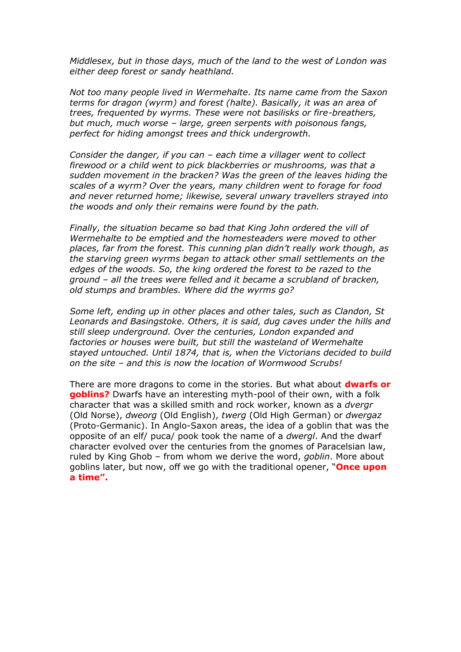*Middlesex, but in those days, much of the land to the west of London was either deep forest or sandy heathland.*

*Not too many people lived in Wermehalte. Its name came from the Saxon terms for dragon (wyrm) and forest (halte). Basically, it was an area of trees, frequented by wyrms. These were not basilisks or fire-breathers, but much, much worse – large, green serpents with poisonous fangs, perfect for hiding amongst trees and thick undergrowth.*

*Consider the danger, if you can – each time a villager went to collect firewood or a child went to pick blackberries or mushrooms, was that a sudden movement in the bracken? Was the green of the leaves hiding the scales of a wyrm? Over the years, many children went to forage for food and never returned home; likewise, several unwary travellers strayed into the woods and only their remains were found by the path.*

*Finally, the situation became so bad that King John ordered the vill of Wermehalte to be emptied and the homesteaders were moved to other places, far from the forest. This cunning plan didn't really work though, as the starving green wyrms began to attack other small settlements on the edges of the woods. So, the king ordered the forest to be razed to the ground – all the trees were felled and it became a scrubland of bracken, old stumps and brambles. Where did the wyrms go?*

*Some left, ending up in other places and other tales, such as Clandon, St Leonards and Basingstoke. Others, it is said, dug caves under the hills and still sleep underground. Over the centuries, London expanded and factories or houses were built, but still the wasteland of Wermehalte stayed untouched. Until 1874, that is, when the Victorians decided to build on the site – and this is now the location of Wormwood Scrubs!*

There are more dragons to come in the stories. But what about **dwarfs or goblins?** Dwarfs have an interesting myth-pool of their own, with a folk character that was a skilled smith and rock worker, known as a *dvergr* (Old Norse), *dweorg* (Old English), *twerg* (Old High German) or *dwergaz* (Proto-Germanic). In Anglo-Saxon areas, the idea of a goblin that was the opposite of an elf/ puca/ pook took the name of a *dwergl*. And the dwarf character evolved over the centuries from the gnomes of Paracelsian law, ruled by King Ghob – from whom we derive the word, *goblin*. More about goblins later, but now, off we go with the traditional opener, "**Once upon a time".**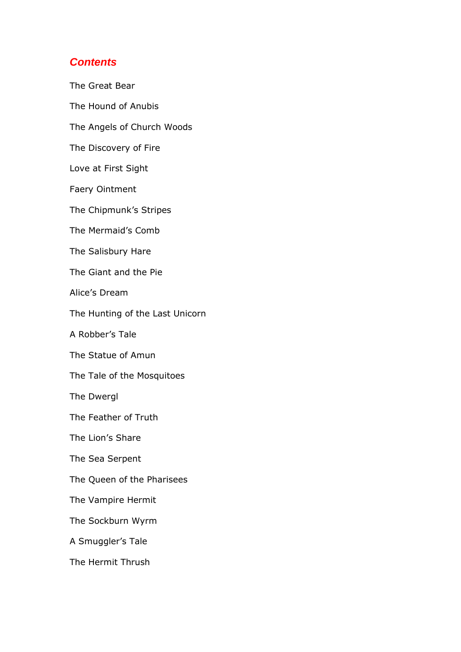#### *Contents*

The Great Bear The Hound of Anubis The Angels of Church Woods The Discovery of Fire Love at First Sight Faery Ointment The Chipmunk's Stripes The Mermaid's Comb The Salisbury Hare The Giant and the Pie Alice's Dream The Hunting of the Last Unicorn A Robber's Tale The Statue of Amun The Tale of the Mosquitoes The Dwergl The Feather of Truth The Lion's Share The Sea Serpent The Queen of the Pharisees The Vampire Hermit The Sockburn Wyrm A Smuggler's Tale The Hermit Thrush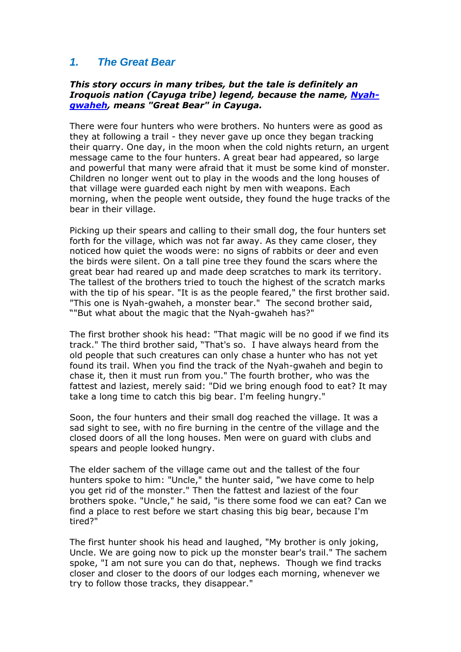#### *1. The Great Bear*

#### *This story occurs in many tribes, but the tale is definitely an Iroquois nation (Cayuga tribe) legend, because the name, [Nyah](http://www.native-languages.org/naked-bear.htm)[gwaheh,](http://www.native-languages.org/naked-bear.htm) means "Great Bear" in Cayuga.*

There were four hunters who were brothers. No hunters were as good as they at following a trail - they never gave up once they began tracking their quarry. One day, in the moon when the cold nights return, an urgent message came to the four hunters. A great bear had appeared, so large and powerful that many were afraid that it must be some kind of monster. Children no longer went out to play in the woods and the long houses of that village were guarded each night by men with weapons. Each morning, when the people went outside, they found the huge tracks of the bear in their village.

Picking up their spears and calling to their small dog, the four hunters set forth for the village, which was not far away. As they came closer, they noticed how quiet the woods were: no signs of rabbits or deer and even the birds were silent. On a tall pine tree they found the scars where the great bear had reared up and made deep scratches to mark its territory. The tallest of the brothers tried to touch the highest of the scratch marks with the tip of his spear. "It is as the people feared," the first brother said. "This one is Nyah-gwaheh, a monster bear." The second brother said, ""But what about the magic that the Nyah-gwaheh has?"

The first brother shook his head: "That magic will be no good if we find its track." The third brother said, "That's so. I have always heard from the old people that such creatures can only chase a hunter who has not yet found its trail. When you find the track of the Nyah-gwaheh and begin to chase it, then it must run from you." The fourth brother, who was the fattest and laziest, merely said: "Did we bring enough food to eat? It may take a long time to catch this big bear. I'm feeling hungry."

Soon, the four hunters and their small dog reached the village. It was a sad sight to see, with no fire burning in the centre of the village and the closed doors of all the long houses. Men were on guard with clubs and spears and people looked hungry.

The elder sachem of the village came out and the tallest of the four hunters spoke to him: "Uncle," the hunter said, "we have come to help you get rid of the monster." Then the fattest and laziest of the four brothers spoke. "Uncle," he said, "is there some food we can eat? Can we find a place to rest before we start chasing this big bear, because I'm tired?"

The first hunter shook his head and laughed, "My brother is only joking, Uncle. We are going now to pick up the monster bear's trail." The sachem spoke, "I am not sure you can do that, nephews. Though we find tracks closer and closer to the doors of our lodges each morning, whenever we try to follow those tracks, they disappear."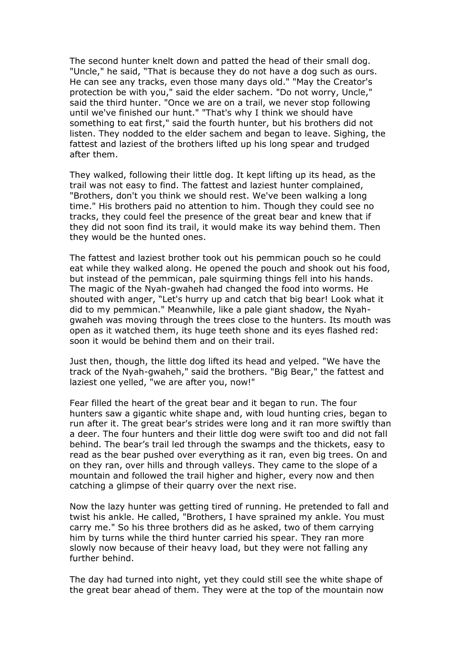The second hunter knelt down and patted the head of their small dog. "Uncle," he said, "That is because they do not have a dog such as ours. He can see any tracks, even those many days old." "May the Creator's protection be with you," said the elder sachem. "Do not worry, Uncle," said the third hunter. "Once we are on a trail, we never stop following until we've finished our hunt." "That's why I think we should have something to eat first," said the fourth hunter, but his brothers did not listen. They nodded to the elder sachem and began to leave. Sighing, the fattest and laziest of the brothers lifted up his long spear and trudged after them.

They walked, following their little dog. It kept lifting up its head, as the trail was not easy to find. The fattest and laziest hunter complained, "Brothers, don't you think we should rest. We've been walking a long time." His brothers paid no attention to him. Though they could see no tracks, they could feel the presence of the great bear and knew that if they did not soon find its trail, it would make its way behind them. Then they would be the hunted ones.

The fattest and laziest brother took out his pemmican pouch so he could eat while they walked along. He opened the pouch and shook out his food, but instead of the pemmican, pale squirming things fell into his hands. The magic of the Nyah-gwaheh had changed the food into worms. He shouted with anger, "Let's hurry up and catch that big bear! Look what it did to my pemmican." Meanwhile, like a pale giant shadow, the Nyahgwaheh was moving through the trees close to the hunters. Its mouth was open as it watched them, its huge teeth shone and its eyes flashed red: soon it would be behind them and on their trail.

Just then, though, the little dog lifted its head and yelped. "We have the track of the Nyah-gwaheh," said the brothers. "Big Bear," the fattest and laziest one yelled, "we are after you, now!"

Fear filled the heart of the great bear and it began to run. The four hunters saw a gigantic white shape and, with loud hunting cries, began to run after it. The great bear's strides were long and it ran more swiftly than a deer. The four hunters and their little dog were swift too and did not fall behind. The bear's trail led through the swamps and the thickets, easy to read as the bear pushed over everything as it ran, even big trees. On and on they ran, over hills and through valleys. They came to the slope of a mountain and followed the trail higher and higher, every now and then catching a glimpse of their quarry over the next rise.

Now the lazy hunter was getting tired of running. He pretended to fall and twist his ankle. He called, "Brothers, I have sprained my ankle. You must carry me." So his three brothers did as he asked, two of them carrying him by turns while the third hunter carried his spear. They ran more slowly now because of their heavy load, but they were not falling any further behind.

The day had turned into night, yet they could still see the white shape of the great bear ahead of them. They were at the top of the mountain now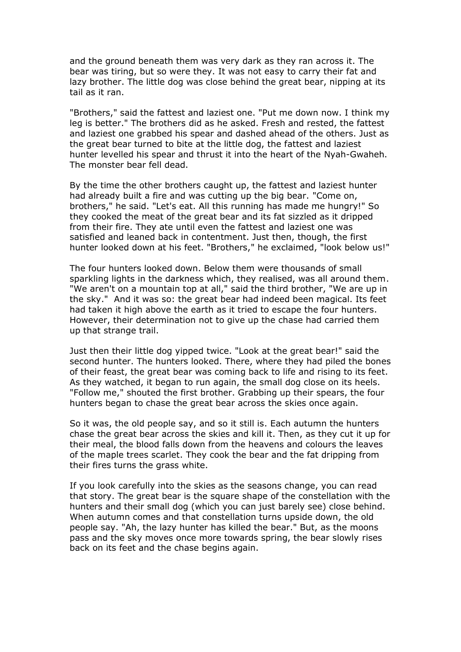and the ground beneath them was very dark as they ran across it. The bear was tiring, but so were they. It was not easy to carry their fat and lazy brother. The little dog was close behind the great bear, nipping at its tail as it ran.

"Brothers," said the fattest and laziest one. "Put me down now. I think my leg is better." The brothers did as he asked. Fresh and rested, the fattest and laziest one grabbed his spear and dashed ahead of the others. Just as the great bear turned to bite at the little dog, the fattest and laziest hunter levelled his spear and thrust it into the heart of the Nyah-Gwaheh. The monster bear fell dead.

By the time the other brothers caught up, the fattest and laziest hunter had already built a fire and was cutting up the big bear. "Come on, brothers," he said. "Let's eat. All this running has made me hungry!" So they cooked the meat of the great bear and its fat sizzled as it dripped from their fire. They ate until even the fattest and laziest one was satisfied and leaned back in contentment. Just then, though, the first hunter looked down at his feet. "Brothers," he exclaimed, "look below us!"

The four hunters looked down. Below them were thousands of small sparkling lights in the darkness which, they realised, was all around them. "We aren't on a mountain top at all," said the third brother, "We are up in the sky." And it was so: the great bear had indeed been magical. Its feet had taken it high above the earth as it tried to escape the four hunters. However, their determination not to give up the chase had carried them up that strange trail.

Just then their little dog yipped twice. "Look at the great bear!" said the second hunter. The hunters looked. There, where they had piled the bones of their feast, the great bear was coming back to life and rising to its feet. As they watched, it began to run again, the small dog close on its heels. "Follow me," shouted the first brother. Grabbing up their spears, the four hunters began to chase the great bear across the skies once again.

So it was, the old people say, and so it still is. Each autumn the hunters chase the great bear across the skies and kill it. Then, as they cut it up for their meal, the blood falls down from the heavens and colours the leaves of the maple trees scarlet. They cook the bear and the fat dripping from their fires turns the grass white.

If you look carefully into the skies as the seasons change, you can read that story. The great bear is the square shape of the constellation with the hunters and their small dog (which you can just barely see) close behind. When autumn comes and that constellation turns upside down, the old people say. "Ah, the lazy hunter has killed the bear." But, as the moons pass and the sky moves once more towards spring, the bear slowly rises back on its feet and the chase begins again.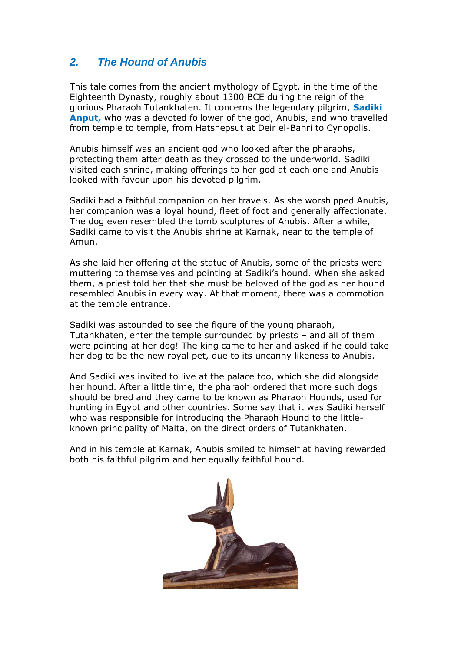## *2. The Hound of Anubis*

This tale comes from the ancient mythology of Egypt, in the time of the Eighteenth Dynasty, roughly about 1300 BCE during the reign of the glorious Pharaoh Tutankhaten. It concerns the legendary pilgrim, **Sadiki Anput,** who was a devoted follower of the god, Anubis, and who travelled from temple to temple, from Hatshepsut at Deir el-Bahri to Cynopolis.

Anubis himself was an ancient god who looked after the pharaohs, protecting them after death as they crossed to the underworld. Sadiki visited each shrine, making offerings to her god at each one and Anubis looked with favour upon his devoted pilgrim.

Sadiki had a faithful companion on her travels. As she worshipped Anubis, her companion was a loyal hound, fleet of foot and generally affectionate. The dog even resembled the tomb sculptures of Anubis. After a while, Sadiki came to visit the Anubis shrine at Karnak, near to the temple of Amun.

As she laid her offering at the statue of Anubis, some of the priests were muttering to themselves and pointing at Sadiki's hound. When she asked them, a priest told her that she must be beloved of the god as her hound resembled Anubis in every way. At that moment, there was a commotion at the temple entrance.

Sadiki was astounded to see the figure of the young pharaoh, Tutankhaten, enter the temple surrounded by priests – and all of them were pointing at her dog! The king came to her and asked if he could take her dog to be the new royal pet, due to its uncanny likeness to Anubis.

And Sadiki was invited to live at the palace too, which she did alongside her hound. After a little time, the pharaoh ordered that more such dogs should be bred and they came to be known as Pharaoh Hounds, used for hunting in Egypt and other countries. Some say that it was Sadiki herself who was responsible for introducing the Pharaoh Hound to the littleknown principality of Malta, on the direct orders of Tutankhaten.

And in his temple at Karnak, Anubis smiled to himself at having rewarded both his faithful pilgrim and her equally faithful hound.

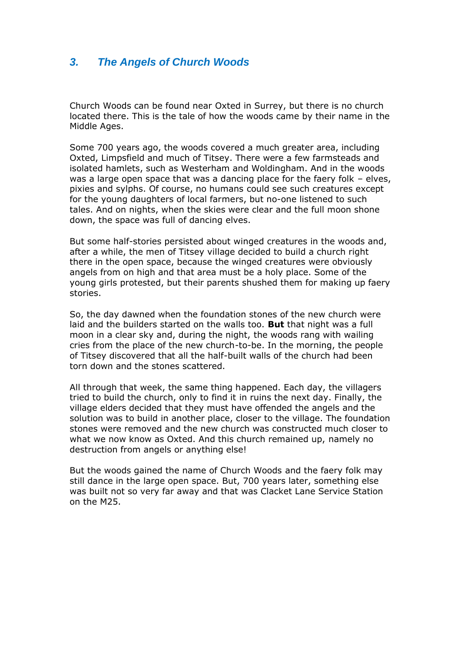## *3. The Angels of Church Woods*

Church Woods can be found near Oxted in Surrey, but there is no church located there. This is the tale of how the woods came by their name in the Middle Ages.

Some 700 years ago, the woods covered a much greater area, including Oxted, Limpsfield and much of Titsey. There were a few farmsteads and isolated hamlets, such as Westerham and Woldingham. And in the woods was a large open space that was a dancing place for the faery folk – elves, pixies and sylphs. Of course, no humans could see such creatures except for the young daughters of local farmers, but no-one listened to such tales. And on nights, when the skies were clear and the full moon shone down, the space was full of dancing elves.

But some half-stories persisted about winged creatures in the woods and, after a while, the men of Titsey village decided to build a church right there in the open space, because the winged creatures were obviously angels from on high and that area must be a holy place. Some of the young girls protested, but their parents shushed them for making up faery stories.

So, the day dawned when the foundation stones of the new church were laid and the builders started on the walls too. **But** that night was a full moon in a clear sky and, during the night, the woods rang with wailing cries from the place of the new church-to-be. In the morning, the people of Titsey discovered that all the half-built walls of the church had been torn down and the stones scattered.

All through that week, the same thing happened. Each day, the villagers tried to build the church, only to find it in ruins the next day. Finally, the village elders decided that they must have offended the angels and the solution was to build in another place, closer to the village. The foundation stones were removed and the new church was constructed much closer to what we now know as Oxted. And this church remained up, namely no destruction from angels or anything else!

But the woods gained the name of Church Woods and the faery folk may still dance in the large open space. But, 700 years later, something else was built not so very far away and that was Clacket Lane Service Station on the M25.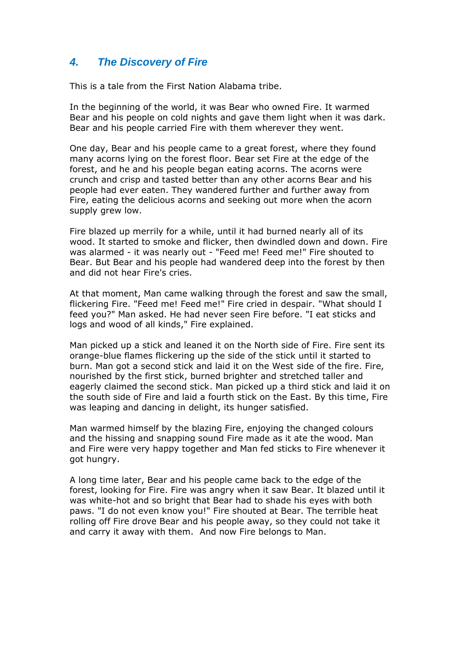# *4. The Discovery of Fire*

This is a tale from the First Nation Alabama tribe.

In the beginning of the world, it was Bear who owned Fire. It warmed Bear and his people on cold nights and gave them light when it was dark. Bear and his people carried Fire with them wherever they went.

One day, Bear and his people came to a great forest, where they found many acorns lying on the forest floor. Bear set Fire at the edge of the forest, and he and his people began eating acorns. The acorns were crunch and crisp and tasted better than any other acorns Bear and his people had ever eaten. They wandered further and further away from Fire, eating the delicious acorns and seeking out more when the acorn supply grew low.

Fire blazed up merrily for a while, until it had burned nearly all of its wood. It started to smoke and flicker, then dwindled down and down. Fire was alarmed - it was nearly out - "Feed me! Feed me!" Fire shouted to Bear. But Bear and his people had wandered deep into the forest by then and did not hear Fire's cries.

At that moment, Man came walking through the forest and saw the small, flickering Fire. "Feed me! Feed me!" Fire cried in despair. "What should I feed you?" Man asked. He had never seen Fire before. "I eat sticks and logs and wood of all kinds," Fire explained.

Man picked up a stick and leaned it on the North side of Fire. Fire sent its orange-blue flames flickering up the side of the stick until it started to burn. Man got a second stick and laid it on the West side of the fire. Fire, nourished by the first stick, burned brighter and stretched taller and eagerly claimed the second stick. Man picked up a third stick and laid it on the south side of Fire and laid a fourth stick on the East. By this time, Fire was leaping and dancing in delight, its hunger satisfied.

Man warmed himself by the blazing Fire, enjoying the changed colours and the hissing and snapping sound Fire made as it ate the wood. Man and Fire were very happy together and Man fed sticks to Fire whenever it got hungry.

A long time later, Bear and his people came back to the edge of the forest, looking for Fire. Fire was angry when it saw Bear. It blazed until it was white-hot and so bright that Bear had to shade his eyes with both paws. "I do not even know you!" Fire shouted at Bear. The terrible heat rolling off Fire drove Bear and his people away, so they could not take it and carry it away with them. And now Fire belongs to Man.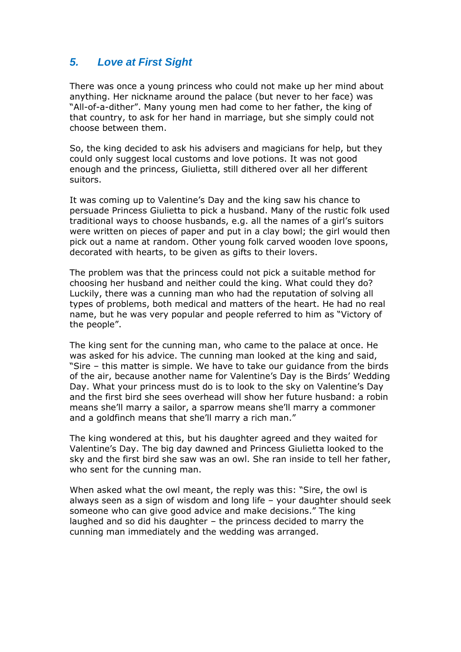## *5. Love at First Sight*

There was once a young princess who could not make up her mind about anything. Her nickname around the palace (but never to her face) was "All-of-a-dither". Many young men had come to her father, the king of that country, to ask for her hand in marriage, but she simply could not choose between them.

So, the king decided to ask his advisers and magicians for help, but they could only suggest local customs and love potions. It was not good enough and the princess, Giulietta, still dithered over all her different suitors.

It was coming up to Valentine's Day and the king saw his chance to persuade Princess Giulietta to pick a husband. Many of the rustic folk used traditional ways to choose husbands, e.g. all the names of a girl's suitors were written on pieces of paper and put in a clay bowl; the girl would then pick out a name at random. Other young folk carved wooden love spoons, decorated with hearts, to be given as gifts to their lovers.

The problem was that the princess could not pick a suitable method for choosing her husband and neither could the king. What could they do? Luckily, there was a cunning man who had the reputation of solving all types of problems, both medical and matters of the heart. He had no real name, but he was very popular and people referred to him as "Victory of the people".

The king sent for the cunning man, who came to the palace at once. He was asked for his advice. The cunning man looked at the king and said, "Sire – this matter is simple. We have to take our guidance from the birds of the air, because another name for Valentine's Day is the Birds' Wedding Day. What your princess must do is to look to the sky on Valentine's Day and the first bird she sees overhead will show her future husband: a robin means she'll marry a sailor, a sparrow means she'll marry a commoner and a goldfinch means that she'll marry a rich man."

The king wondered at this, but his daughter agreed and they waited for Valentine's Day. The big day dawned and Princess Giulietta looked to the sky and the first bird she saw was an owl. She ran inside to tell her father, who sent for the cunning man.

When asked what the owl meant, the reply was this: "Sire, the owl is always seen as a sign of wisdom and long life – your daughter should seek someone who can give good advice and make decisions." The king laughed and so did his daughter – the princess decided to marry the cunning man immediately and the wedding was arranged.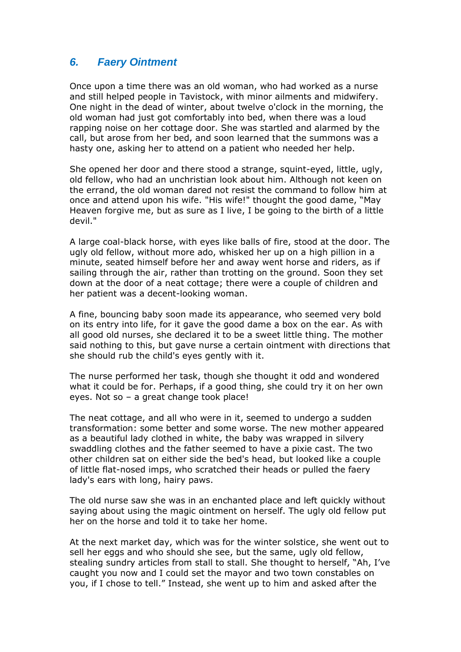#### *6. Faery Ointment*

Once upon a time there was an old woman, who had worked as a nurse and still helped people in Tavistock, with minor ailments and midwifery. One night in the dead of winter, about twelve o'clock in the morning, the old woman had just got comfortably into bed, when there was a loud rapping noise on her cottage door. She was startled and alarmed by the call, but arose from her bed, and soon learned that the summons was a hasty one, asking her to attend on a patient who needed her help.

She opened her door and there stood a strange, squint-eyed, little, ugly, old fellow, who had an unchristian look about him. Although not keen on the errand, the old woman dared not resist the command to follow him at once and attend upon his wife. "His wife!" thought the good dame, "May Heaven forgive me, but as sure as I live, I be going to the birth of a little devil."

A large coal-black horse, with eyes like balls of fire, stood at the door. The ugly old fellow, without more ado, whisked her up on a high pillion in a minute, seated himself before her and away went horse and riders, as if sailing through the air, rather than trotting on the ground. Soon they set down at the door of a neat cottage; there were a couple of children and her patient was a decent-looking woman.

A fine, bouncing baby soon made its appearance, who seemed very bold on its entry into life, for it gave the good dame a box on the ear. As with all good old nurses, she declared it to be a sweet little thing. The mother said nothing to this, but gave nurse a certain ointment with directions that she should rub the child's eyes gently with it.

The nurse performed her task, though she thought it odd and wondered what it could be for. Perhaps, if a good thing, she could try it on her own eyes. Not so – a great change took place!

The neat cottage, and all who were in it, seemed to undergo a sudden transformation: some better and some worse. The new mother appeared as a beautiful lady clothed in white, the baby was wrapped in silvery swaddling clothes and the father seemed to have a pixie cast. The two other children sat on either side the bed's head, but looked like a couple of little flat-nosed imps, who scratched their heads or pulled the faery lady's ears with long, hairy paws.

The old nurse saw she was in an enchanted place and left quickly without saying about using the magic ointment on herself. The ugly old fellow put her on the horse and told it to take her home.

At the next market day, which was for the winter solstice, she went out to sell her eggs and who should she see, but the same, ugly old fellow, stealing sundry articles from stall to stall. She thought to herself, "Ah, I've caught you now and I could set the mayor and two town constables on you, if I chose to tell." Instead, she went up to him and asked after the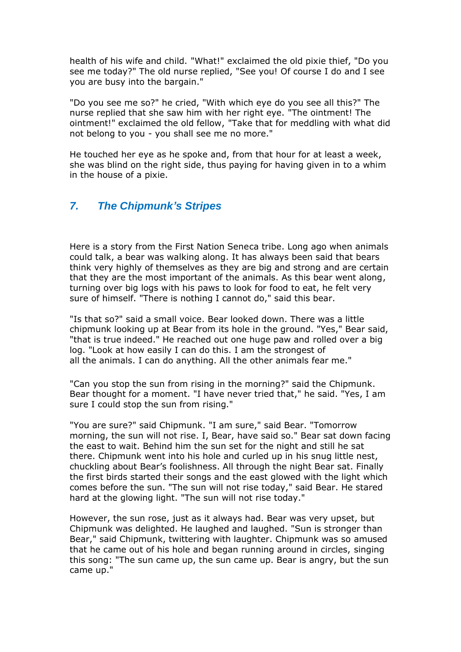health of his wife and child. "What!" exclaimed the old pixie thief, "Do you see me today?" The old nurse replied, "See you! Of course I do and I see you are busy into the bargain."

"Do you see me so?" he cried, "With which eye do you see all this?" The nurse replied that she saw him with her right eye. "The ointment! The ointment!" exclaimed the old fellow, "Take that for meddling with what did not belong to you - you shall see me no more."

He touched her eye as he spoke and, from that hour for at least a week, she was blind on the right side, thus paying for having given in to a whim in the house of a pixie.

#### *7. The Chipmunk's Stripes*

Here is a story from the First Nation Seneca tribe. Long ago when animals could talk, a bear was walking along. It has always been said that bears think very highly of themselves as they are big and strong and are certain that they are the most important of the animals. As this bear went along, turning over big logs with his paws to look for food to eat, he felt very sure of himself. "There is nothing I cannot do," said this bear.

"Is that so?" said a small voice. Bear looked down. There was a little chipmunk looking up at Bear from its hole in the ground. "Yes," Bear said, "that is true indeed." He reached out one huge paw and rolled over a big log. "Look at how easily I can do this. I am the strongest of all the animals. I can do anything. All the other animals fear me."

"Can you stop the sun from rising in the morning?" said the Chipmunk. Bear thought for a moment. "I have never tried that," he said. "Yes, I am sure I could stop the sun from rising."

"You are sure?" said Chipmunk. "I am sure," said Bear. "Tomorrow morning, the sun will not rise. I, Bear, have said so." Bear sat down facing the east to wait. Behind him the sun set for the night and still he sat there. Chipmunk went into his hole and curled up in his snug little nest, chuckling about Bear's foolishness. All through the night Bear sat. Finally the first birds started their songs and the east glowed with the light which comes before the sun. "The sun will not rise today," said Bear. He stared hard at the glowing light. "The sun will not rise today."

However, the sun rose, just as it always had. Bear was very upset, but Chipmunk was delighted. He laughed and laughed. "Sun is stronger than Bear," said Chipmunk, twittering with laughter. Chipmunk was so amused that he came out of his hole and began running around in circles, singing this song: "The sun came up, the sun came up. Bear is angry, but the sun came up."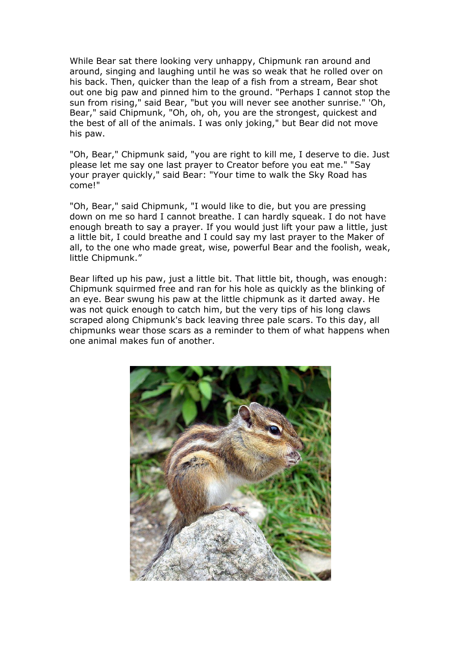While Bear sat there looking very unhappy, Chipmunk ran around and around, singing and laughing until he was so weak that he rolled over on his back. Then, quicker than the leap of a fish from a stream, Bear shot out one big paw and pinned him to the ground. "Perhaps I cannot stop the sun from rising," said Bear, "but you will never see another sunrise." 'Oh, Bear," said Chipmunk, "Oh, oh, oh, you are the strongest, quickest and the best of all of the animals. I was only joking," but Bear did not move his paw.

"Oh, Bear," Chipmunk said, "you are right to kill me, I deserve to die. Just please let me say one last prayer to Creator before you eat me." "Say your prayer quickly," said Bear: "Your time to walk the Sky Road has come!"

"Oh, Bear," said Chipmunk, "I would like to die, but you are pressing down on me so hard I cannot breathe. I can hardly squeak. I do not have enough breath to say a prayer. If you would just lift your paw a little, just a little bit, I could breathe and I could say my last prayer to the Maker of all, to the one who made great, wise, powerful Bear and the foolish, weak, little Chipmunk."

Bear lifted up his paw, just a little bit. That little bit, though, was enough: Chipmunk squirmed free and ran for his hole as quickly as the blinking of an eye. Bear swung his paw at the little chipmunk as it darted away. He was not quick enough to catch him, but the very tips of his long claws scraped along Chipmunk's back leaving three pale scars. To this day, all chipmunks wear those scars as a reminder to them of what happens when one animal makes fun of another.

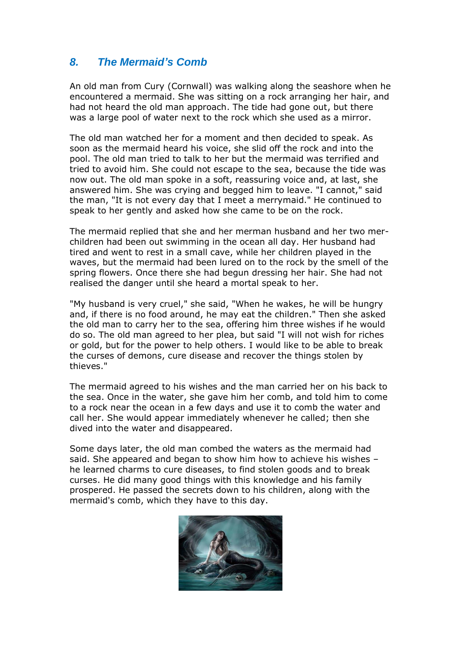## *8. The Mermaid's Comb*

An old man from Cury (Cornwall) was walking along the seashore when he encountered a mermaid. She was sitting on a rock arranging her hair, and had not heard the old man approach. The tide had gone out, but there was a large pool of water next to the rock which she used as a mirror.

The old man watched her for a moment and then decided to speak. As soon as the mermaid heard his voice, she slid off the rock and into the pool. The old man tried to talk to her but the mermaid was terrified and tried to avoid him. She could not escape to the sea, because the tide was now out. The old man spoke in a soft, reassuring voice and, at last, she answered him. She was crying and begged him to leave. "I cannot," said the man, "It is not every day that I meet a merrymaid." He continued to speak to her gently and asked how she came to be on the rock.

The mermaid replied that she and her merman husband and her two merchildren had been out swimming in the ocean all day. Her husband had tired and went to rest in a small cave, while her children played in the waves, but the mermaid had been lured on to the rock by the smell of the spring flowers. Once there she had begun dressing her hair. She had not realised the danger until she heard a mortal speak to her.

"My husband is very cruel," she said, "When he wakes, he will be hungry and, if there is no food around, he may eat the children." Then she asked the old man to carry her to the sea, offering him three wishes if he would do so. The old man agreed to her plea, but said "I will not wish for riches or gold, but for the power to help others. I would like to be able to break the curses of demons, cure disease and recover the things stolen by thieves."

The mermaid agreed to his wishes and the man carried her on his back to the sea. Once in the water, she gave him her comb, and told him to come to a rock near the ocean in a few days and use it to comb the water and call her. She would appear immediately whenever he called; then she dived into the water and disappeared.

Some days later, the old man combed the waters as the mermaid had said. She appeared and began to show him how to achieve his wishes – he learned charms to cure diseases, to find stolen goods and to break curses. He did many good things with this knowledge and his family prospered. He passed the secrets down to his children, along with the mermaid's comb, which they have to this day.

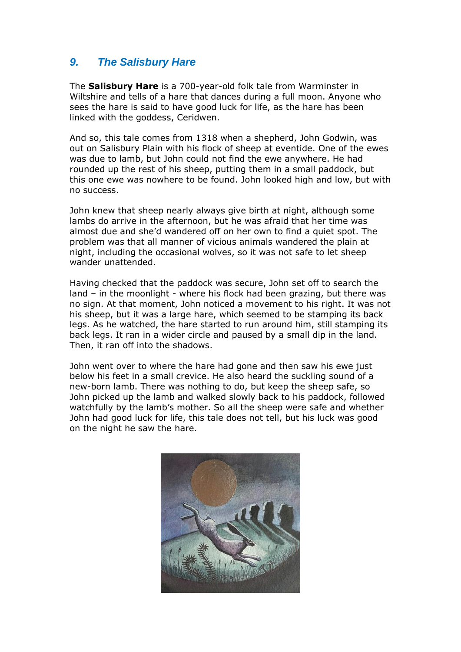## *9. The Salisbury Hare*

The **Salisbury Hare** is a 700-year-old [folk tale](https://en.wikipedia.org/wiki/English_folklore) from Warminster in Wiltshire and tells of a hare that dances during a full moon. Anyone who sees the hare is said to have good luck for life, as the hare has been linked with the goddess, Ceridwen.

And so, this tale comes from 1318 when a shepherd, John Godwin, was out on Salisbury Plain with his flock of sheep at eventide. One of the ewes was due to lamb, but John could not find the ewe anywhere. He had rounded up the rest of his sheep, putting them in a small paddock, but this one ewe was nowhere to be found. John looked high and low, but with no success.

John knew that sheep nearly always give birth at night, although some lambs do arrive in the afternoon, but he was afraid that her time was almost due and she'd wandered off on her own to find a quiet spot. The problem was that all manner of vicious animals wandered the plain at night, including the occasional wolves, so it was not safe to let sheep wander unattended.

Having checked that the paddock was secure, John set off to search the land – in the moonlight - where his flock had been grazing, but there was no sign. At that moment, John noticed a movement to his right. It was not his sheep, but it was a large hare, which seemed to be stamping its back legs. As he watched, the hare started to run around him, still stamping its back legs. It ran in a wider circle and paused by a small dip in the land. Then, it ran off into the shadows.

John went over to where the hare had gone and then saw his ewe just below his feet in a small crevice. He also heard the suckling sound of a new-born lamb. There was nothing to do, but keep the sheep safe, so John picked up the lamb and walked slowly back to his paddock, followed watchfully by the lamb's mother. So all the sheep were safe and whether John had good luck for life, this tale does not tell, but his luck was good on the night he saw the hare.

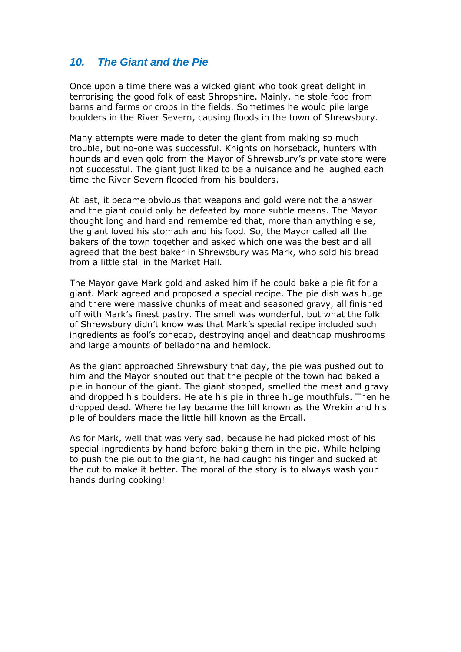## *10. The Giant and the Pie*

Once upon a time there was a wicked giant who took great delight in terrorising the good folk of east Shropshire. Mainly, he stole food from barns and farms or crops in the fields. Sometimes he would pile large boulders in the River Severn, causing floods in the town of Shrewsbury.

Many attempts were made to deter the giant from making so much trouble, but no-one was successful. Knights on horseback, hunters with hounds and even gold from the Mayor of Shrewsbury's private store were not successful. The giant just liked to be a nuisance and he laughed each time the River Severn flooded from his boulders.

At last, it became obvious that weapons and gold were not the answer and the giant could only be defeated by more subtle means. The Mayor thought long and hard and remembered that, more than anything else, the giant loved his stomach and his food. So, the Mayor called all the bakers of the town together and asked which one was the best and all agreed that the best baker in Shrewsbury was Mark, who sold his bread from a little stall in the Market Hall.

The Mayor gave Mark gold and asked him if he could bake a pie fit for a giant. Mark agreed and proposed a special recipe. The pie dish was huge and there were massive chunks of meat and seasoned gravy, all finished off with Mark's finest pastry. The smell was wonderful, but what the folk of Shrewsbury didn't know was that Mark's special recipe included such ingredients as fool's conecap, destroying angel and deathcap mushrooms and large amounts of belladonna and hemlock.

As the giant approached Shrewsbury that day, the pie was pushed out to him and the Mayor shouted out that the people of the town had baked a pie in honour of the giant. The giant stopped, smelled the meat and gravy and dropped his boulders. He ate his pie in three huge mouthfuls. Then he dropped dead. Where he lay became the hill known as the Wrekin and his pile of boulders made the little hill known as the Ercall.

As for Mark, well that was very sad, because he had picked most of his special ingredients by hand before baking them in the pie. While helping to push the pie out to the giant, he had caught his finger and sucked at the cut to make it better. The moral of the story is to always wash your hands during cooking!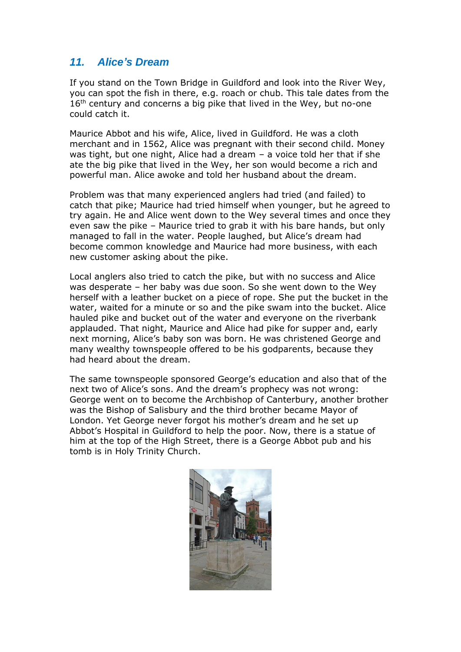#### *11. Alice's Dream*

If you stand on the Town Bridge in Guildford and look into the River Wey, you can spot the fish in there, e.g. roach or chub. This tale dates from the  $16<sup>th</sup>$  century and concerns a big pike that lived in the Wey, but no-one could catch it.

Maurice Abbot and his wife, Alice, lived in Guildford. He was a cloth merchant and in 1562, Alice was pregnant with their second child. Money was tight, but one night, Alice had a dream – a voice told her that if she ate the big pike that lived in the Wey, her son would become a rich and powerful man. Alice awoke and told her husband about the dream.

Problem was that many experienced anglers had tried (and failed) to catch that pike; Maurice had tried himself when younger, but he agreed to try again. He and Alice went down to the Wey several times and once they even saw the pike – Maurice tried to grab it with his bare hands, but only managed to fall in the water. People laughed, but Alice's dream had become common knowledge and Maurice had more business, with each new customer asking about the pike.

Local anglers also tried to catch the pike, but with no success and Alice was desperate – her baby was due soon. So she went down to the Wey herself with a leather bucket on a piece of rope. She put the bucket in the water, waited for a minute or so and the pike swam into the bucket. Alice hauled pike and bucket out of the water and everyone on the riverbank applauded. That night, Maurice and Alice had pike for supper and, early next morning, Alice's baby son was born. He was christened George and many wealthy townspeople offered to be his godparents, because they had heard about the dream.

The same townspeople sponsored George's education and also that of the next two of Alice's sons. And the dream's prophecy was not wrong: George went on to become the Archbishop of Canterbury, another brother was the Bishop of Salisbury and the third brother became Mayor of London. Yet George never forgot his mother's dream and he set up Abbot's Hospital in Guildford to help the poor. Now, there is a statue of him at the top of the High Street, there is a George Abbot pub and his tomb is in Holy Trinity Church.

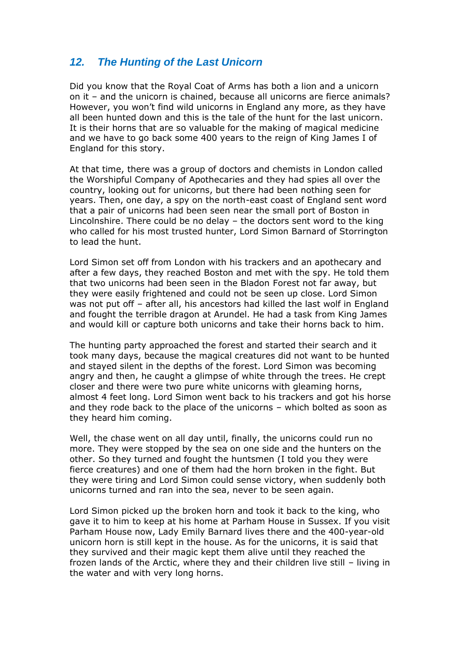## *12. The Hunting of the Last Unicorn*

Did you know that the Royal Coat of Arms has both a lion and a unicorn on it – and the unicorn is chained, because all unicorns are fierce animals? However, you won't find wild unicorns in England any more, as they have all been hunted down and this is the tale of the hunt for the last unicorn. It is their horns that are so valuable for the making of magical medicine and we have to go back some 400 years to the reign of King James I of England for this story.

At that time, there was a group of doctors and chemists in London called the Worshipful Company of Apothecaries and they had spies all over the country, looking out for unicorns, but there had been nothing seen for years. Then, one day, a spy on the north-east coast of England sent word that a pair of unicorns had been seen near the small port of Boston in Lincolnshire. There could be no delay – the doctors sent word to the king who called for his most trusted hunter, Lord Simon Barnard of Storrington to lead the hunt.

Lord Simon set off from London with his trackers and an apothecary and after a few days, they reached Boston and met with the spy. He told them that two unicorns had been seen in the Bladon Forest not far away, but they were easily frightened and could not be seen up close. Lord Simon was not put off – after all, his ancestors had killed the last wolf in England and fought the terrible dragon at Arundel. He had a task from King James and would kill or capture both unicorns and take their horns back to him.

The hunting party approached the forest and started their search and it took many days, because the magical creatures did not want to be hunted and stayed silent in the depths of the forest. Lord Simon was becoming angry and then, he caught a glimpse of white through the trees. He crept closer and there were two pure white unicorns with gleaming horns, almost 4 feet long. Lord Simon went back to his trackers and got his horse and they rode back to the place of the unicorns – which bolted as soon as they heard him coming.

Well, the chase went on all day until, finally, the unicorns could run no more. They were stopped by the sea on one side and the hunters on the other. So they turned and fought the huntsmen (I told you they were fierce creatures) and one of them had the horn broken in the fight. But they were tiring and Lord Simon could sense victory, when suddenly both unicorns turned and ran into the sea, never to be seen again.

Lord Simon picked up the broken horn and took it back to the king, who gave it to him to keep at his home at Parham House in Sussex. If you visit Parham House now, Lady Emily Barnard lives there and the 400-year-old unicorn horn is still kept in the house. As for the unicorns, it is said that they survived and their magic kept them alive until they reached the frozen lands of the Arctic, where they and their children live still – living in the water and with very long horns.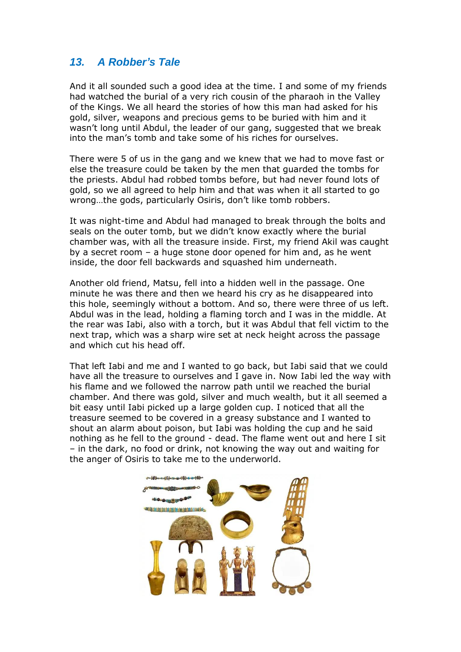#### *13. A Robber's Tale*

And it all sounded such a good idea at the time. I and some of my friends had watched the burial of a very rich cousin of the pharaoh in the Valley of the Kings. We all heard the stories of how this man had asked for his gold, silver, weapons and precious gems to be buried with him and it wasn't long until Abdul, the leader of our gang, suggested that we break into the man's tomb and take some of his riches for ourselves.

There were 5 of us in the gang and we knew that we had to move fast or else the treasure could be taken by the men that guarded the tombs for the priests. Abdul had robbed tombs before, but had never found lots of gold, so we all agreed to help him and that was when it all started to go wrong…the gods, particularly Osiris, don't like tomb robbers.

It was night-time and Abdul had managed to break through the bolts and seals on the outer tomb, but we didn't know exactly where the burial chamber was, with all the treasure inside. First, my friend Akil was caught by a secret room – a huge stone door opened for him and, as he went inside, the door fell backwards and squashed him underneath.

Another old friend, Matsu, fell into a hidden well in the passage. One minute he was there and then we heard his cry as he disappeared into this hole, seemingly without a bottom. And so, there were three of us left. Abdul was in the lead, holding a flaming torch and I was in the middle. At the rear was Iabi, also with a torch, but it was Abdul that fell victim to the next trap, which was a sharp wire set at neck height across the passage and which cut his head off.

That left Iabi and me and I wanted to go back, but Iabi said that we could have all the treasure to ourselves and I gave in. Now Iabi led the way with his flame and we followed the narrow path until we reached the burial chamber. And there was gold, silver and much wealth, but it all seemed a bit easy until Iabi picked up a large golden cup. I noticed that all the treasure seemed to be covered in a greasy substance and I wanted to shout an alarm about poison, but Iabi was holding the cup and he said nothing as he fell to the ground - dead. The flame went out and here I sit – in the dark, no food or drink, not knowing the way out and waiting for the anger of Osiris to take me to the underworld.

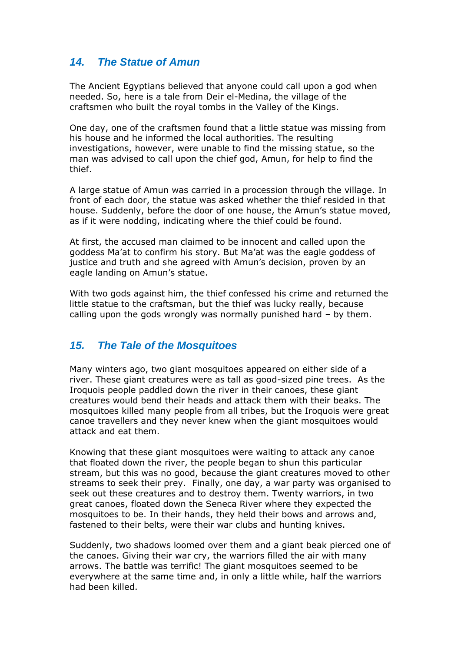# *14. The Statue of Amun*

The Ancient Egyptians believed that anyone could call upon a god when needed. So, here is a tale from Deir el-Medina, the village of the craftsmen who built the royal tombs in the Valley of the Kings.

One day, one of the craftsmen found that a little statue was missing from his house and he informed the local authorities. The resulting investigations, however, were unable to find the missing statue, so the man was advised to call upon the chief god, Amun, for help to find the thief.

A large statue of Amun was carried in a procession through the village. In front of each door, the statue was asked whether the thief resided in that house. Suddenly, before the door of one house, the Amun's statue moved, as if it were nodding, indicating where the thief could be found.

At first, the accused man claimed to be innocent and called upon the goddess Ma'at to confirm his story. But Ma'at was the eagle goddess of justice and truth and she agreed with Amun's decision, proven by an eagle landing on Amun's statue.

With two gods against him, the thief confessed his crime and returned the little statue to the craftsman, but the thief was lucky really, because calling upon the gods wrongly was normally punished hard – by them.

#### *15. The Tale of the Mosquitoes*

Many winters ago, two giant mosquitoes appeared on either side of a river. These giant creatures were as tall as good-sized pine trees. As the Iroquois people paddled down the river in their canoes, these giant creatures would bend their heads and attack them with their beaks. The mosquitoes killed many people from all tribes, but the Iroquois were great canoe travellers and they never knew when the giant mosquitoes would attack and eat them.

Knowing that these giant mosquitoes were waiting to attack any canoe that floated down the river, the people began to shun this particular stream, but this was no good, because the giant creatures moved to other streams to seek their prey. Finally, one day, a war party was organised to seek out these creatures and to destroy them. Twenty warriors, in two great canoes, floated down the Seneca River where they expected the mosquitoes to be. In their hands, they held their bows and arrows and, fastened to their belts, were their war clubs and hunting knives.

Suddenly, two shadows loomed over them and a giant beak pierced one of the canoes. Giving their war cry, the warriors filled the air with many arrows. The battle was terrific! The giant mosquitoes seemed to be everywhere at the same time and, in only a little while, half the warriors had been killed.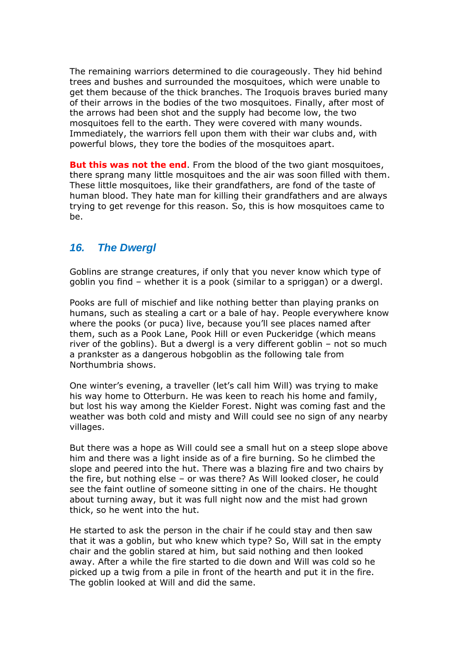The remaining warriors determined to die courageously. They hid behind trees and bushes and surrounded the mosquitoes, which were unable to get them because of the thick branches. The Iroquois braves buried many of their arrows in the bodies of the two mosquitoes. Finally, after most of the arrows had been shot and the supply had become low, the two mosquitoes fell to the earth. They were covered with many wounds. Immediately, the warriors fell upon them with their war clubs and, with powerful blows, they tore the bodies of the mosquitoes apart.

**But this was not the end**. From the blood of the two giant mosquitoes, there sprang many little mosquitoes and the air was soon filled with them. These little mosquitoes, like their grandfathers, are fond of the taste of human blood. They hate man for killing their grandfathers and are always trying to get revenge for this reason. So, this is how mosquitoes came to be.

#### *16. The Dwergl*

Goblins are strange creatures, if only that you never know which type of goblin you find – whether it is a pook (similar to a spriggan) or a dwergl.

Pooks are full of mischief and like nothing better than playing pranks on humans, such as stealing a cart or a bale of hay. People everywhere know where the pooks (or puca) live, because you'll see places named after them, such as a Pook Lane, Pook Hill or even Puckeridge (which means river of the goblins). But a dwergl is a very different goblin – not so much a prankster as a dangerous hobgoblin as the following tale from Northumbria shows.

One winter's evening, a traveller (let's call him Will) was trying to make his way home to Otterburn. He was keen to reach his home and family, but lost his way among the Kielder Forest. Night was coming fast and the weather was both cold and misty and Will could see no sign of any nearby villages.

But there was a hope as Will could see a small hut on a steep slope above him and there was a light inside as of a fire burning. So he climbed the slope and peered into the hut. There was a blazing fire and two chairs by the fire, but nothing else – or was there? As Will looked closer, he could see the faint outline of someone sitting in one of the chairs. He thought about turning away, but it was full night now and the mist had grown thick, so he went into the hut.

He started to ask the person in the chair if he could stay and then saw that it was a goblin, but who knew which type? So, Will sat in the empty chair and the goblin stared at him, but said nothing and then looked away. After a while the fire started to die down and Will was cold so he picked up a twig from a pile in front of the hearth and put it in the fire. The goblin looked at Will and did the same.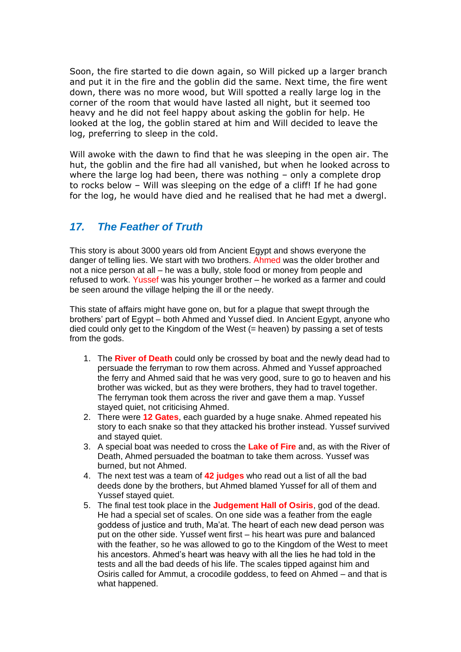Soon, the fire started to die down again, so Will picked up a larger branch and put it in the fire and the goblin did the same. Next time, the fire went down, there was no more wood, but Will spotted a really large log in the corner of the room that would have lasted all night, but it seemed too heavy and he did not feel happy about asking the goblin for help. He looked at the log, the goblin stared at him and Will decided to leave the log, preferring to sleep in the cold.

Will awoke with the dawn to find that he was sleeping in the open air. The hut, the goblin and the fire had all vanished, but when he looked across to where the large log had been, there was nothing – only a complete drop to rocks below – Will was sleeping on the edge of a cliff! If he had gone for the log, he would have died and he realised that he had met a dwergl.

#### *17. The Feather of Truth*

This story is about 3000 years old from Ancient Egypt and shows everyone the danger of telling lies. We start with two brothers. Ahmed was the older brother and not a nice person at all – he was a bully, stole food or money from people and refused to work. Yussef was his younger brother – he worked as a farmer and could be seen around the village helping the ill or the needy.

This state of affairs might have gone on, but for a plague that swept through the brothers' part of Egypt – both Ahmed and Yussef died. In Ancient Egypt, anyone who died could only get to the Kingdom of the West (= heaven) by passing a set of tests from the gods.

- 1. The **River of Death** could only be crossed by boat and the newly dead had to persuade the ferryman to row them across. Ahmed and Yussef approached the ferry and Ahmed said that he was very good, sure to go to heaven and his brother was wicked, but as they were brothers, they had to travel together. The ferryman took them across the river and gave them a map. Yussef stayed quiet, not criticising Ahmed.
- 2. There were **12 Gates**, each guarded by a huge snake. Ahmed repeated his story to each snake so that they attacked his brother instead. Yussef survived and stayed quiet.
- 3. A special boat was needed to cross the **Lake of Fire** and, as with the River of Death, Ahmed persuaded the boatman to take them across. Yussef was burned, but not Ahmed.
- 4. The next test was a team of **42 judges** who read out a list of all the bad deeds done by the brothers, but Ahmed blamed Yussef for all of them and Yussef stayed quiet.
- 5. The final test took place in the **Judgement Hall of Osiris**, god of the dead. He had a special set of scales. On one side was a feather from the eagle goddess of justice and truth, Ma'at. The heart of each new dead person was put on the other side. Yussef went first – his heart was pure and balanced with the feather, so he was allowed to go to the Kingdom of the West to meet his ancestors. Ahmed's heart was heavy with all the lies he had told in the tests and all the bad deeds of his life. The scales tipped against him and Osiris called for Ammut, a crocodile goddess, to feed on Ahmed – and that is what happened.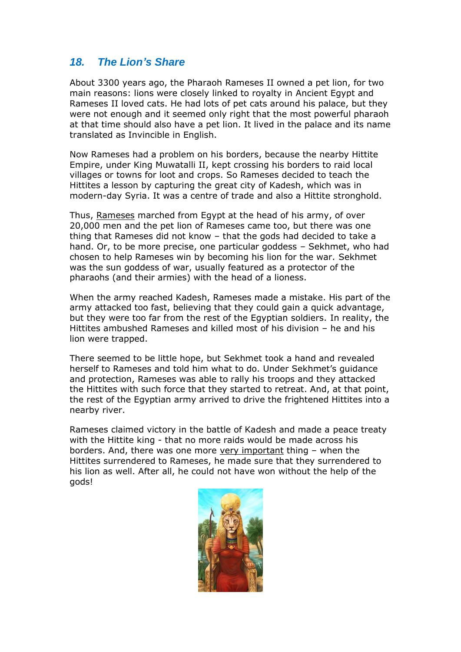## *18. The Lion's Share*

About 3300 years ago, the Pharaoh Rameses II owned a pet lion, for two main reasons: lions were closely linked to royalty in Ancient Egypt and Rameses II loved cats. He had lots of pet cats around his palace, but they were not enough and it seemed only right that the most powerful pharaoh at that time should also have a pet lion. It lived in the palace and its name translated as Invincible in English.

Now Rameses had a problem on his borders, because the nearby Hittite Empire, under King Muwatalli II, kept crossing his borders to raid local villages or towns for loot and crops. So Rameses decided to teach the Hittites a lesson by capturing the great city of Kadesh, which was in modern-day Syria. It was a centre of trade and also a Hittite stronghold.

Thus, [Rameses](http://www.ancient.eu/ramesses/) marched from Egypt at the head of his army, of over 20,000 men and the pet lion of Rameses came too, but there was one thing that Rameses did not know – that the gods had decided to take a hand. Or, to be more precise, one particular goddess – Sekhmet, who had chosen to help Rameses win by becoming his lion for the war. Sekhmet was the sun goddess of war, usually featured as a protector of the pharaohs (and their armies) with the head of a lioness.

When the army reached Kadesh, Rameses made a mistake. His part of the army attacked too fast, believing that they could gain a quick advantage, but they were too far from the rest of the Egyptian soldiers. In reality, the Hittites ambushed Rameses and killed most of his division – he and his lion were trapped.

There seemed to be little hope, but Sekhmet took a hand and revealed herself to Rameses and told him what to do. Under Sekhmet's guidance and protection, Rameses was able to rally his troops and they attacked the Hittites with such force that they started to retreat. And, at that point, the rest of the Egyptian army arrived to drive the frightened Hittites into a nearby river.

Rameses claimed victory in the battle of Kadesh and made a peace treaty with the Hittite king - that no more raids would be made across his borders. And, there was one more very important thing – when the Hittites surrendered to Rameses, he made sure that they surrendered to his lion as well. After all, he could not have won without the help of the gods!

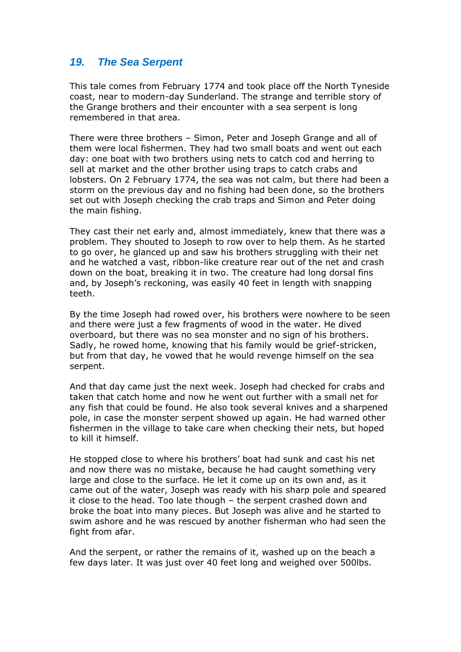#### *19. The Sea Serpent*

This tale comes from February 1774 and took place off the North Tyneside coast, near to modern-day Sunderland. The strange and terrible story of the Grange brothers and their encounter with a sea serpent is long remembered in that area.

There were three brothers – Simon, Peter and Joseph Grange and all of them were local fishermen. They had two small boats and went out each day: one boat with two brothers using nets to catch cod and herring to sell at market and the other brother using traps to catch crabs and lobsters. On 2 February 1774, the sea was not calm, but there had been a storm on the previous day and no fishing had been done, so the brothers set out with Joseph checking the crab traps and Simon and Peter doing the main fishing.

They cast their net early and, almost immediately, knew that there was a problem. They shouted to Joseph to row over to help them. As he started to go over, he glanced up and saw his brothers struggling with their net and he watched a vast, ribbon-like creature rear out of the net and crash down on the boat, breaking it in two. The creature had long dorsal fins and, by Joseph's reckoning, was easily 40 feet in length with snapping teeth.

By the time Joseph had rowed over, his brothers were nowhere to be seen and there were just a few fragments of wood in the water. He dived overboard, but there was no sea monster and no sign of his brothers. Sadly, he rowed home, knowing that his family would be grief-stricken, but from that day, he vowed that he would revenge himself on the sea serpent.

And that day came just the next week. Joseph had checked for crabs and taken that catch home and now he went out further with a small net for any fish that could be found. He also took several knives and a sharpened pole, in case the monster serpent showed up again. He had warned other fishermen in the village to take care when checking their nets, but hoped to kill it himself.

He stopped close to where his brothers' boat had sunk and cast his net and now there was no mistake, because he had caught something very large and close to the surface. He let it come up on its own and, as it came out of the water, Joseph was ready with his sharp pole and speared it close to the head. Too late though – the serpent crashed down and broke the boat into many pieces. But Joseph was alive and he started to swim ashore and he was rescued by another fisherman who had seen the fight from afar.

And the serpent, or rather the remains of it, washed up on the beach a few days later. It was just over 40 feet long and weighed over 500lbs.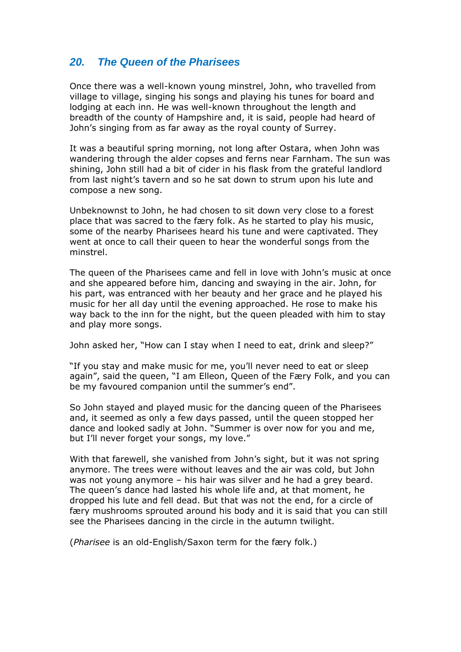#### *20. The Queen of the Pharisees*

Once there was a well-known young minstrel, John, who travelled from village to village, singing his songs and playing his tunes for board and lodging at each inn. He was well-known throughout the length and breadth of the county of Hampshire and, it is said, people had heard of John's singing from as far away as the royal county of Surrey.

It was a beautiful spring morning, not long after Ostara, when John was wandering through the alder copses and ferns near Farnham. The sun was shining, John still had a bit of cider in his flask from the grateful landlord from last night's tavern and so he sat down to strum upon his lute and compose a new song.

Unbeknownst to John, he had chosen to sit down very close to a forest place that was sacred to the færy folk. As he started to play his music, some of the nearby Pharisees heard his tune and were captivated. They went at once to call their queen to hear the wonderful songs from the minstrel.

The queen of the Pharisees came and fell in love with John's music at once and she appeared before him, dancing and swaying in the air. John, for his part, was entranced with her beauty and her grace and he played his music for her all day until the evening approached. He rose to make his way back to the inn for the night, but the queen pleaded with him to stay and play more songs.

John asked her, "How can I stay when I need to eat, drink and sleep?"

"If you stay and make music for me, you'll never need to eat or sleep again", said the queen, "I am Elleon, Queen of the Færy Folk, and you can be my favoured companion until the summer's end".

So John stayed and played music for the dancing queen of the Pharisees and, it seemed as only a few days passed, until the queen stopped her dance and looked sadly at John. "Summer is over now for you and me, but I'll never forget your songs, my love."

With that farewell, she vanished from John's sight, but it was not spring anymore. The trees were without leaves and the air was cold, but John was not young anymore – his hair was silver and he had a grey beard. The queen's dance had lasted his whole life and, at that moment, he dropped his lute and fell dead. But that was not the end, for a circle of færy mushrooms sprouted around his body and it is said that you can still see the Pharisees dancing in the circle in the autumn twilight.

(*Pharisee* is an old-English/Saxon term for the færy folk.)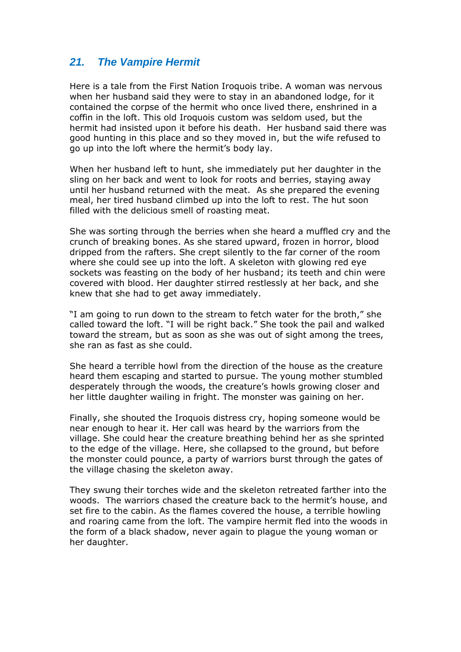## *21. The Vampire Hermit*

Here is a tale from the First Nation Iroquois tribe. A woman was nervous when her husband said they were to stay in an abandoned lodge, for it contained the corpse of the hermit who once lived there, enshrined in a coffin in the loft. This old Iroquois custom was seldom used, but the hermit had insisted upon it before his death. Her husband said there was good hunting in this place and so they moved in, but the wife refused to go up into the loft where the hermit's body lay.

When her husband left to hunt, she immediately put her daughter in the sling on her back and went to look for roots and berries, staying away until her husband returned with the meat. As she prepared the evening meal, her tired husband climbed up into the loft to rest. The hut soon filled with the delicious smell of roasting meat.

She was sorting through the berries when she heard a muffled cry and the crunch of breaking bones. As she stared upward, frozen in horror, blood dripped from the rafters. She crept silently to the far corner of the room where she could see up into the loft. A skeleton with glowing red eye sockets was feasting on the body of her husband; its teeth and chin were covered with blood. Her daughter stirred restlessly at her back, and she knew that she had to get away immediately.

"I am going to run down to the stream to fetch water for the broth," she called toward the loft. "I will be right back." She took the pail and walked toward the stream, but as soon as she was out of sight among the trees, she ran as fast as she could.

She heard a terrible howl from the direction of the house as the creature heard them escaping and started to pursue. The young mother stumbled desperately through the woods, the creature's howls growing closer and her little daughter wailing in fright. The monster was gaining on her.

Finally, she shouted the Iroquois distress cry, hoping someone would be near enough to hear it. Her call was heard by the warriors from the village. She could hear the creature breathing behind her as she sprinted to the edge of the village. Here, she collapsed to the ground, but before the monster could pounce, a party of warriors burst through the gates of the village chasing the skeleton away.

They swung their torches wide and the skeleton retreated farther into the woods. The warriors chased the creature back to the hermit's house, and set fire to the cabin. As the flames covered the house, a terrible howling and roaring came from the loft. The vampire hermit fled into the woods in the form of a black shadow, never again to plague the young woman or her daughter.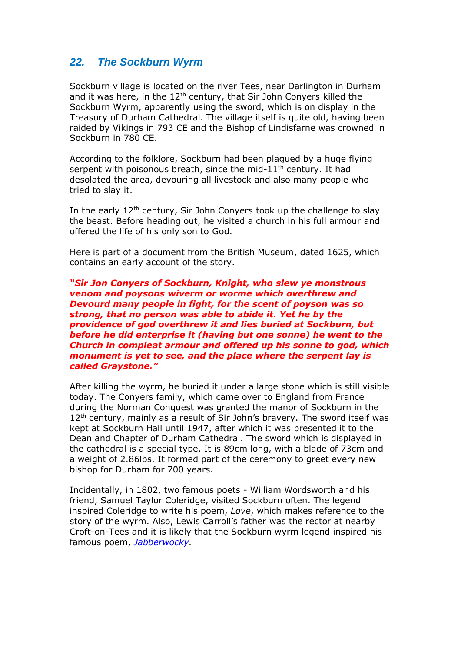## *22. The Sockburn Wyrm*

Sockburn village is located on the river Tees, near Darlington in Durham and it was here, in the  $12<sup>th</sup>$  century, that Sir John Conyers killed the Sockburn Wyrm, apparently using the sword, which is on display in the Treasury of Durham Cathedral. The village itself is quite old, having been raided by Vikings in 793 CE and the Bishop of Lindisfarne was crowned in Sockburn in 780 CE.

According to the folklore, Sockburn had been plagued by a huge flying serpent with poisonous breath, since the mid- $11<sup>th</sup>$  century. It had desolated the area, devouring all livestock and also many people who tried to slay it.

In the early  $12<sup>th</sup>$  century, Sir John Conyers took up the challenge to slay the beast. Before heading out, he visited a church in his full armour and offered the life of his only son to God.

Here is part of a document from the British Museum, dated 1625, which contains an early account of the story.

*"Sir Jon Conyers of Sockburn, Knight, who slew ye monstrous venom and poysons wiverm or worme which overthrew and Devourd many people in fight, for the scent of poyson was so strong, that no person was able to abide it. Yet he by the providence of god overthrew it and lies buried at Sockburn, but before he did enterprise it (having but one sonne) he went to the Church in compleat armour and offered up his sonne to god, which monument is yet to see, and the place where the serpent lay is called Graystone."*

After killing the wyrm, he buried it under a large stone which is still visible today. The Conyers family, which came over to England from France during the Norman Conquest was granted the manor of Sockburn in the  $12<sup>th</sup>$  century, mainly as a result of Sir John's bravery. The sword itself was kept at Sockburn Hall until 1947, after which it was presented it to the Dean and Chapter of Durham Cathedral. The sword which is displayed in the cathedral is a special type. It is 89cm long, with a blade of 73cm and a weight of 2.86lbs. It formed part of the ceremony to greet every new bishop for Durham for 700 years.

Incidentally, in 1802, two famous poets - William Wordsworth and his friend, Samuel Taylor Coleridge, visited Sockburn often. The legend inspired Coleridge to write his poem, *Love*, which makes reference to the story of the wyrm. Also, Lewis Carroll's father was the rector at nearby Croft-on-Tees and it is likely that the Sockburn wyrm legend inspired his famous poem, *[Jabberwocky.](http://allaboutdragons.com/dragons/Jabberwocky)*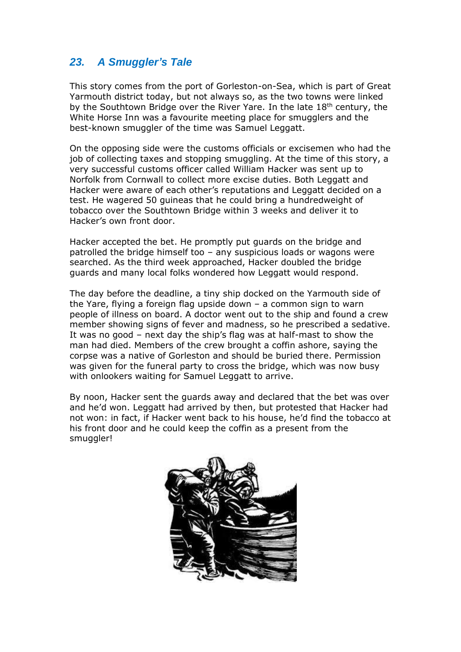## *23. A Smuggler's Tale*

This story comes from the port of Gorleston-on-Sea, which is part of Great Yarmouth district today, but not always so, as the two towns were linked by the Southtown Bridge over the River Yare. In the late 18<sup>th</sup> century, the White Horse Inn was a favourite meeting place for smugglers and the best-known smuggler of the time was Samuel Leggatt.

On the opposing side were the customs officials or excisemen who had the job of collecting taxes and stopping smuggling. At the time of this story, a very successful customs officer called William Hacker was sent up to Norfolk from Cornwall to collect more excise duties. Both Leggatt and Hacker were aware of each other's reputations and Leggatt decided on a test. He wagered 50 guineas that he could bring a hundredweight of tobacco over the Southtown Bridge within 3 weeks and deliver it to Hacker's own front door.

Hacker accepted the bet. He promptly put guards on the bridge and patrolled the bridge himself too – any suspicious loads or wagons were searched. As the third week approached, Hacker doubled the bridge guards and many local folks wondered how Leggatt would respond.

The day before the deadline, a tiny ship docked on the Yarmouth side of the Yare, flying a foreign flag upside down – a common sign to warn people of illness on board. A doctor went out to the ship and found a crew member showing signs of fever and madness, so he prescribed a sedative. It was no good – next day the ship's flag was at half-mast to show the man had died. Members of the crew brought a coffin ashore, saying the corpse was a native of Gorleston and should be buried there. Permission was given for the funeral party to cross the bridge, which was now busy with onlookers waiting for Samuel Leggatt to arrive.

By noon, Hacker sent the guards away and declared that the bet was over and he'd won. Leggatt had arrived by then, but protested that Hacker had not won: in fact, if Hacker went back to his house, he'd find the tobacco at his front door and he could keep the coffin as a present from the smuggler!

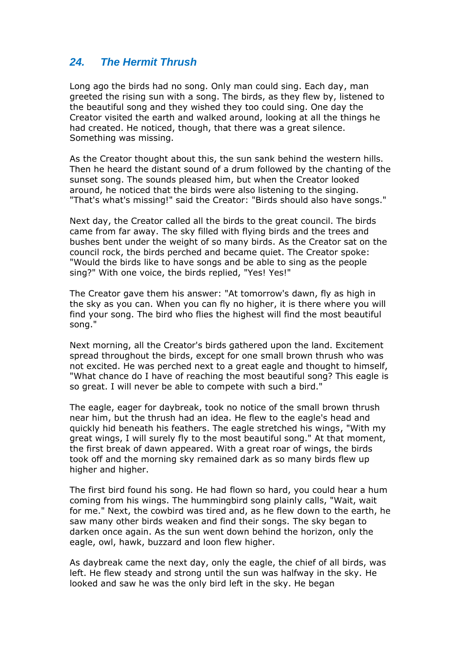## *24. The Hermit Thrush*

Long ago the birds had no song. Only man could sing. Each day, man greeted the rising sun with a song. The birds, as they flew by, listened to the beautiful song and they wished they too could sing. One day the Creator visited the earth and walked around, looking at all the things he had created. He noticed, though, that there was a great silence. Something was missing.

As the Creator thought about this, the sun sank behind the western hills. Then he heard the distant sound of a drum followed by the chanting of the sunset song. The sounds pleased him, but when the Creator looked around, he noticed that the birds were also listening to the singing. "That's what's missing!" said the Creator: "Birds should also have songs."

Next day, the Creator called all the birds to the great council. The birds came from far away. The sky filled with flying birds and the trees and bushes bent under the weight of so many birds. As the Creator sat on the council rock, the birds perched and became quiet. The Creator spoke: "Would the birds like to have songs and be able to sing as the people sing?" With one voice, the birds replied, "Yes! Yes!"

The Creator gave them his answer: "At tomorrow's dawn, fly as high in the sky as you can. When you can fly no higher, it is there where you will find your song. The bird who flies the highest will find the most beautiful song."

Next morning, all the Creator's birds gathered upon the land. Excitement spread throughout the birds, except for one small brown thrush who was not excited. He was perched next to a great eagle and thought to himself, "What chance do I have of reaching the most beautiful song? This eagle is so great. I will never be able to compete with such a bird."

The eagle, eager for daybreak, took no notice of the small brown thrush near him, but the thrush had an idea. He flew to the eagle's head and quickly hid beneath his feathers. The eagle stretched his wings, "With my great wings, I will surely fly to the most beautiful song." At that moment, the first break of dawn appeared. With a great roar of wings, the birds took off and the morning sky remained dark as so many birds flew up higher and higher.

The first bird found his song. He had flown so hard, you could hear a hum coming from his wings. The hummingbird song plainly calls, "Wait, wait for me." Next, the cowbird was tired and, as he flew down to the earth, he saw many other birds weaken and find their songs. The sky began to darken once again. As the sun went down behind the horizon, only the eagle, owl, hawk, buzzard and loon flew higher.

As daybreak came the next day, only the eagle, the chief of all birds, was left. He flew steady and strong until the sun was halfway in the sky. He looked and saw he was the only bird left in the sky. He began